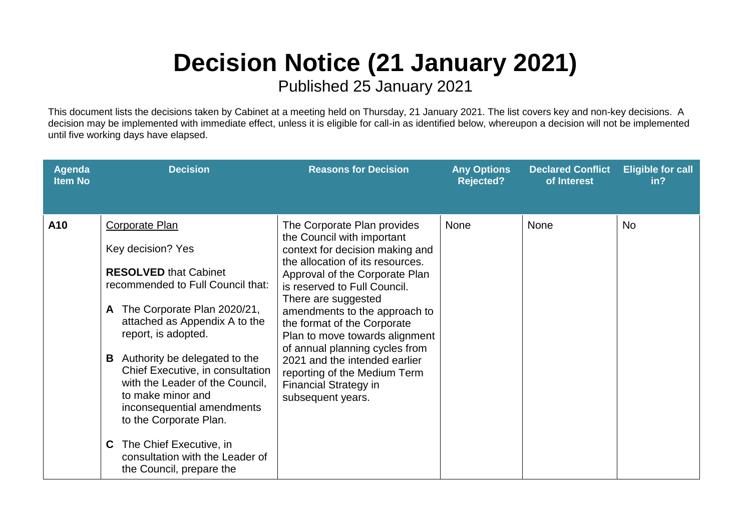## **Decision Notice (21 January 2021)**

Published 25 January 2021

This document lists the decisions taken by Cabinet at a meeting held on Thursday, 21 January 2021. The list covers key and non-key decisions. A decision may be implemented with immediate effect, unless it is eligible for call-in as identified below, whereupon a decision will not be implemented until five working days have elapsed.

| Agenda<br><b>Item No</b> | <b>Decision</b>                                                                                                                                                                                                                                                                                                                                                                                                                                                                                      | <b>Reasons for Decision</b>                                                                                                                                                                                                                                                                                                                                                                                                                                                         | <b>Any Options</b><br><b>Rejected?</b> | <b>Declared Conflict</b><br>of Interest | <b>Eligible for call</b><br>in? |
|--------------------------|------------------------------------------------------------------------------------------------------------------------------------------------------------------------------------------------------------------------------------------------------------------------------------------------------------------------------------------------------------------------------------------------------------------------------------------------------------------------------------------------------|-------------------------------------------------------------------------------------------------------------------------------------------------------------------------------------------------------------------------------------------------------------------------------------------------------------------------------------------------------------------------------------------------------------------------------------------------------------------------------------|----------------------------------------|-----------------------------------------|---------------------------------|
| A10                      | <b>Corporate Plan</b><br>Key decision? Yes<br><b>RESOLVED that Cabinet</b><br>recommended to Full Council that:<br>The Corporate Plan 2020/21,<br>A<br>attached as Appendix A to the<br>report, is adopted.<br>Authority be delegated to the<br>В<br>Chief Executive, in consultation<br>with the Leader of the Council,<br>to make minor and<br>inconsequential amendments<br>to the Corporate Plan.<br>The Chief Executive, in<br>С<br>consultation with the Leader of<br>the Council, prepare the | The Corporate Plan provides<br>the Council with important<br>context for decision making and<br>the allocation of its resources.<br>Approval of the Corporate Plan<br>is reserved to Full Council.<br>There are suggested<br>amendments to the approach to<br>the format of the Corporate<br>Plan to move towards alignment<br>of annual planning cycles from<br>2021 and the intended earlier<br>reporting of the Medium Term<br><b>Financial Strategy in</b><br>subsequent years. | <b>None</b>                            | <b>None</b>                             | <b>No</b>                       |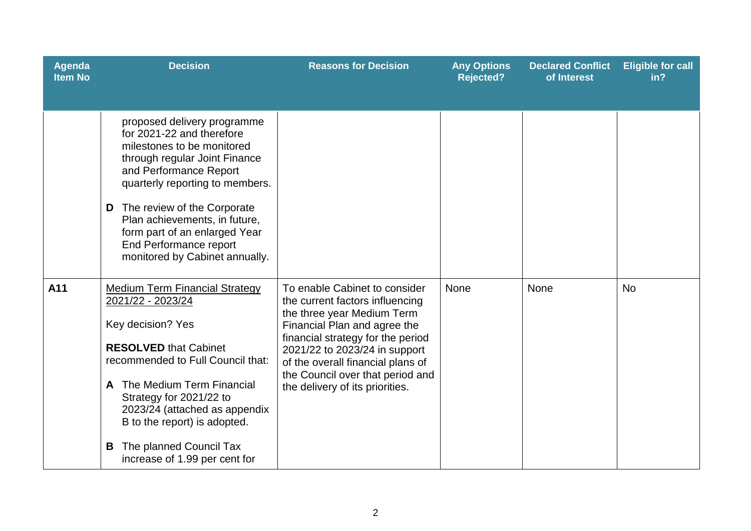| <b>Agenda</b><br><b>Item No</b> | <b>Decision</b>                                                                                                                                                                                                                                                                                                                                        | <b>Reasons for Decision</b>                                                                                                                                                                                                                                                                                      | <b>Any Options</b><br><b>Rejected?</b> | <b>Declared Conflict</b><br>of Interest | <b>Eligible for call</b><br>in? |
|---------------------------------|--------------------------------------------------------------------------------------------------------------------------------------------------------------------------------------------------------------------------------------------------------------------------------------------------------------------------------------------------------|------------------------------------------------------------------------------------------------------------------------------------------------------------------------------------------------------------------------------------------------------------------------------------------------------------------|----------------------------------------|-----------------------------------------|---------------------------------|
|                                 | proposed delivery programme<br>for 2021-22 and therefore<br>milestones to be monitored<br>through regular Joint Finance<br>and Performance Report<br>quarterly reporting to members.<br>The review of the Corporate<br>D<br>Plan achievements, in future,<br>form part of an enlarged Year<br>End Performance report<br>monitored by Cabinet annually. |                                                                                                                                                                                                                                                                                                                  |                                        |                                         |                                 |
| A11                             | <b>Medium Term Financial Strategy</b><br>2021/22 - 2023/24<br>Key decision? Yes<br><b>RESOLVED that Cabinet</b><br>recommended to Full Council that:<br>The Medium Term Financial<br>A<br>Strategy for 2021/22 to<br>2023/24 (attached as appendix<br>B to the report) is adopted.<br>The planned Council Tax<br>B<br>increase of 1.99 per cent for    | To enable Cabinet to consider<br>the current factors influencing<br>the three year Medium Term<br>Financial Plan and agree the<br>financial strategy for the period<br>2021/22 to 2023/24 in support<br>of the overall financial plans of<br>the Council over that period and<br>the delivery of its priorities. | None                                   | None                                    | <b>No</b>                       |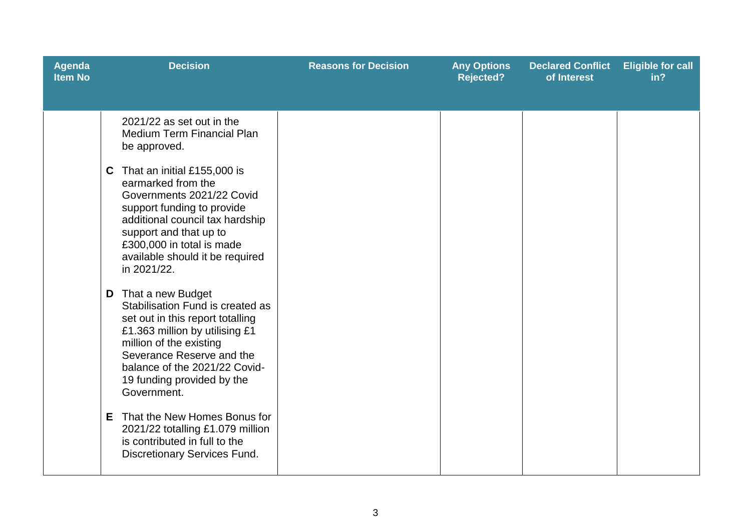| <b>Agenda</b><br><b>Item No</b> | <b>Decision</b>                                                                                                                                                                                                                                                                                                                                                                                                              | <b>Reasons for Decision</b> | <b>Any Options</b><br><b>Rejected?</b> | <b>Declared Conflict</b><br>of Interest | <b>Eligible for call</b><br>in? |
|---------------------------------|------------------------------------------------------------------------------------------------------------------------------------------------------------------------------------------------------------------------------------------------------------------------------------------------------------------------------------------------------------------------------------------------------------------------------|-----------------------------|----------------------------------------|-----------------------------------------|---------------------------------|
|                                 | 2021/22 as set out in the<br><b>Medium Term Financial Plan</b><br>be approved.<br>That an initial £155,000 is<br>C.<br>earmarked from the<br>Governments 2021/22 Covid<br>support funding to provide<br>additional council tax hardship<br>support and that up to<br>£300,000 in total is made<br>available should it be required<br>in 2021/22.                                                                             |                             |                                        |                                         |                                 |
|                                 | <b>D</b> That a new Budget<br>Stabilisation Fund is created as<br>set out in this report totalling<br>£1.363 million by utilising £1<br>million of the existing<br>Severance Reserve and the<br>balance of the 2021/22 Covid-<br>19 funding provided by the<br>Government.<br>That the New Homes Bonus for<br>E.<br>2021/22 totalling £1.079 million<br>is contributed in full to the<br><b>Discretionary Services Fund.</b> |                             |                                        |                                         |                                 |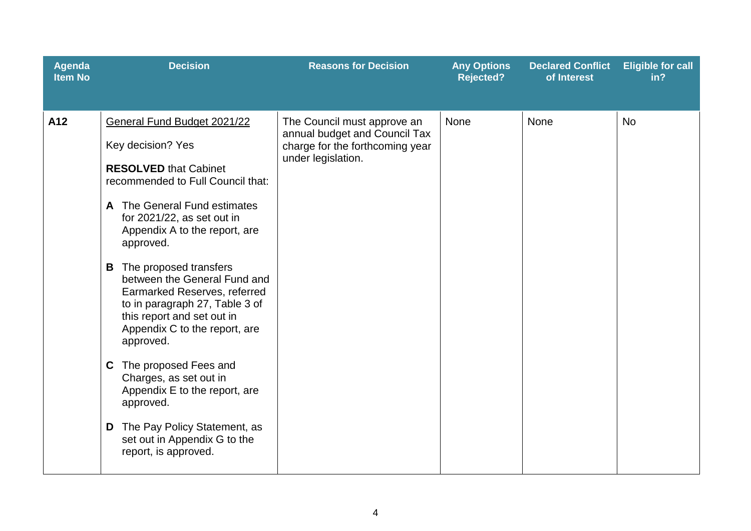| <b>Agenda</b><br><b>Item No</b> | <b>Decision</b>                                                                                                                                                                                                                                                                                                                                                                                                                                                                                                                                                                                                                                            | <b>Reasons for Decision</b>                                                                                           | <b>Any Options</b><br><b>Rejected?</b> | <b>Declared Conflict</b><br>of Interest | <b>Eligible for call</b><br>in? |
|---------------------------------|------------------------------------------------------------------------------------------------------------------------------------------------------------------------------------------------------------------------------------------------------------------------------------------------------------------------------------------------------------------------------------------------------------------------------------------------------------------------------------------------------------------------------------------------------------------------------------------------------------------------------------------------------------|-----------------------------------------------------------------------------------------------------------------------|----------------------------------------|-----------------------------------------|---------------------------------|
| A12                             | General Fund Budget 2021/22<br>Key decision? Yes<br><b>RESOLVED that Cabinet</b><br>recommended to Full Council that:<br>A The General Fund estimates<br>for 2021/22, as set out in<br>Appendix A to the report, are<br>approved.<br><b>B</b> The proposed transfers<br>between the General Fund and<br>Earmarked Reserves, referred<br>to in paragraph 27, Table 3 of<br>this report and set out in<br>Appendix C to the report, are<br>approved.<br>The proposed Fees and<br>C.<br>Charges, as set out in<br>Appendix E to the report, are<br>approved.<br><b>D</b> The Pay Policy Statement, as<br>set out in Appendix G to the<br>report, is approved. | The Council must approve an<br>annual budget and Council Tax<br>charge for the forthcoming year<br>under legislation. | <b>None</b>                            | None                                    | <b>No</b>                       |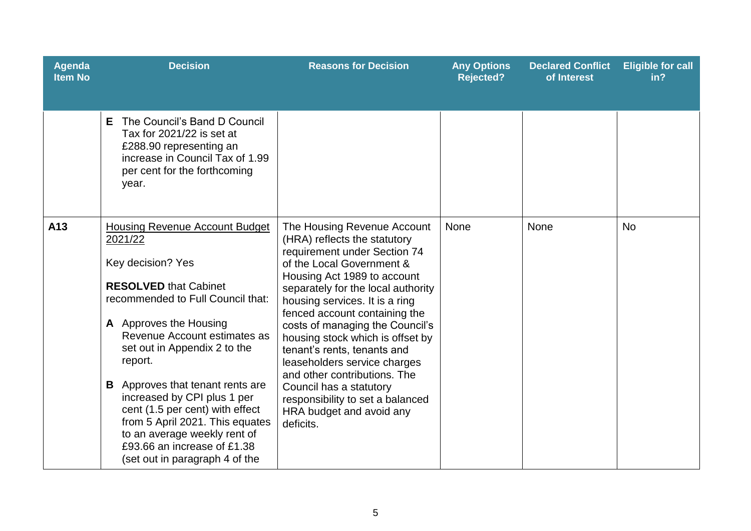| <b>Agenda</b><br><b>Item No</b> | <b>Decision</b>                                                                                                                                                                                                                                                                                                                                                                                                                                                                                  | <b>Reasons for Decision</b>                                                                                                                                                                                                                                                                                                                                                                                                                                                                                                                    | <b>Any Options</b><br><b>Rejected?</b> | <b>Declared Conflict</b><br>of Interest | <b>Eligible for call</b><br>in? |
|---------------------------------|--------------------------------------------------------------------------------------------------------------------------------------------------------------------------------------------------------------------------------------------------------------------------------------------------------------------------------------------------------------------------------------------------------------------------------------------------------------------------------------------------|------------------------------------------------------------------------------------------------------------------------------------------------------------------------------------------------------------------------------------------------------------------------------------------------------------------------------------------------------------------------------------------------------------------------------------------------------------------------------------------------------------------------------------------------|----------------------------------------|-----------------------------------------|---------------------------------|
|                                 | The Council's Band D Council<br>Е<br>Tax for 2021/22 is set at<br>£288.90 representing an<br>increase in Council Tax of 1.99<br>per cent for the forthcoming<br>year.                                                                                                                                                                                                                                                                                                                            |                                                                                                                                                                                                                                                                                                                                                                                                                                                                                                                                                |                                        |                                         |                                 |
| A13                             | <b>Housing Revenue Account Budget</b><br>2021/22<br>Key decision? Yes<br><b>RESOLVED that Cabinet</b><br>recommended to Full Council that:<br>A Approves the Housing<br>Revenue Account estimates as<br>set out in Appendix 2 to the<br>report.<br><b>B</b> Approves that tenant rents are<br>increased by CPI plus 1 per<br>cent (1.5 per cent) with effect<br>from 5 April 2021. This equates<br>to an average weekly rent of<br>£93.66 an increase of £1.38<br>(set out in paragraph 4 of the | The Housing Revenue Account<br>(HRA) reflects the statutory<br>requirement under Section 74<br>of the Local Government &<br>Housing Act 1989 to account<br>separately for the local authority<br>housing services. It is a ring<br>fenced account containing the<br>costs of managing the Council's<br>housing stock which is offset by<br>tenant's rents, tenants and<br>leaseholders service charges<br>and other contributions. The<br>Council has a statutory<br>responsibility to set a balanced<br>HRA budget and avoid any<br>deficits. | <b>None</b>                            | <b>None</b>                             | <b>No</b>                       |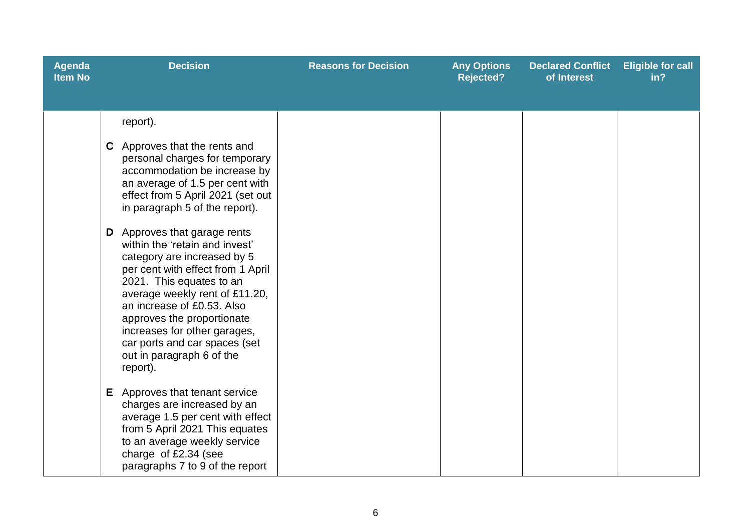| <b>Agenda</b><br><b>Item No</b> | <b>Decision</b>                                                                                                                                                                                                                                                                                                                                                                                                                                                                                                                                                                                        | <b>Reasons for Decision</b> | <b>Any Options</b><br><b>Rejected?</b> | <b>Declared Conflict</b><br>of Interest | <b>Eligible for call</b><br>in? |
|---------------------------------|--------------------------------------------------------------------------------------------------------------------------------------------------------------------------------------------------------------------------------------------------------------------------------------------------------------------------------------------------------------------------------------------------------------------------------------------------------------------------------------------------------------------------------------------------------------------------------------------------------|-----------------------------|----------------------------------------|-----------------------------------------|---------------------------------|
|                                 | report).<br>C Approves that the rents and<br>personal charges for temporary<br>accommodation be increase by<br>an average of 1.5 per cent with<br>effect from 5 April 2021 (set out<br>in paragraph 5 of the report).<br><b>D</b> Approves that garage rents<br>within the 'retain and invest'<br>category are increased by 5<br>per cent with effect from 1 April<br>2021. This equates to an<br>average weekly rent of £11.20,<br>an increase of £0.53. Also<br>approves the proportionate<br>increases for other garages,<br>car ports and car spaces (set<br>out in paragraph 6 of the<br>report). |                             |                                        |                                         |                                 |
|                                 | E Approves that tenant service<br>charges are increased by an<br>average 1.5 per cent with effect<br>from 5 April 2021 This equates<br>to an average weekly service<br>charge of £2.34 (see<br>paragraphs 7 to 9 of the report                                                                                                                                                                                                                                                                                                                                                                         |                             |                                        |                                         |                                 |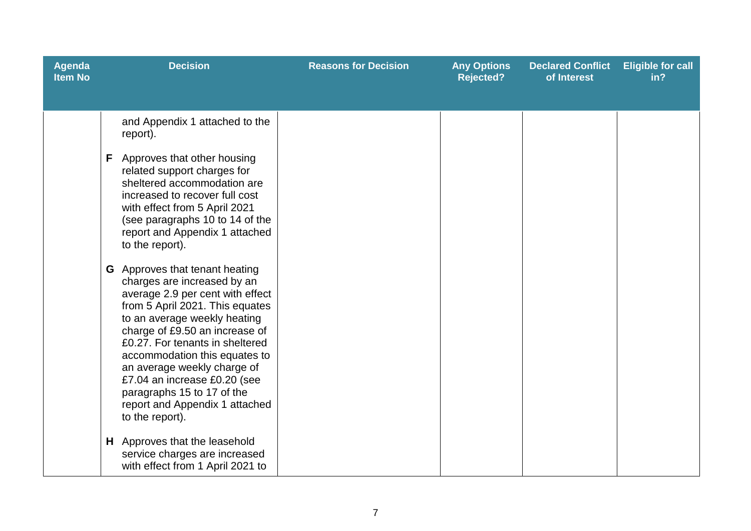| <b>Agenda</b><br><b>Item No</b> | <b>Decision</b>                                                                                                                                                                                                                                                                                                                                                                                                                                                                                                                                                                                                                                                                                                                                 | <b>Reasons for Decision</b> | <b>Any Options</b><br><b>Rejected?</b> | <b>Declared Conflict</b><br>of Interest | <b>Eligible for call</b><br>in? |
|---------------------------------|-------------------------------------------------------------------------------------------------------------------------------------------------------------------------------------------------------------------------------------------------------------------------------------------------------------------------------------------------------------------------------------------------------------------------------------------------------------------------------------------------------------------------------------------------------------------------------------------------------------------------------------------------------------------------------------------------------------------------------------------------|-----------------------------|----------------------------------------|-----------------------------------------|---------------------------------|
|                                 | and Appendix 1 attached to the<br>report).<br>Approves that other housing<br>F.<br>related support charges for<br>sheltered accommodation are<br>increased to recover full cost<br>with effect from 5 April 2021<br>(see paragraphs 10 to 14 of the<br>report and Appendix 1 attached<br>to the report).<br><b>G</b> Approves that tenant heating<br>charges are increased by an<br>average 2.9 per cent with effect<br>from 5 April 2021. This equates<br>to an average weekly heating<br>charge of £9.50 an increase of<br>£0.27. For tenants in sheltered<br>accommodation this equates to<br>an average weekly charge of<br>£7.04 an increase £0.20 (see<br>paragraphs 15 to 17 of the<br>report and Appendix 1 attached<br>to the report). |                             |                                        |                                         |                                 |
|                                 | H Approves that the leasehold<br>service charges are increased<br>with effect from 1 April 2021 to                                                                                                                                                                                                                                                                                                                                                                                                                                                                                                                                                                                                                                              |                             |                                        |                                         |                                 |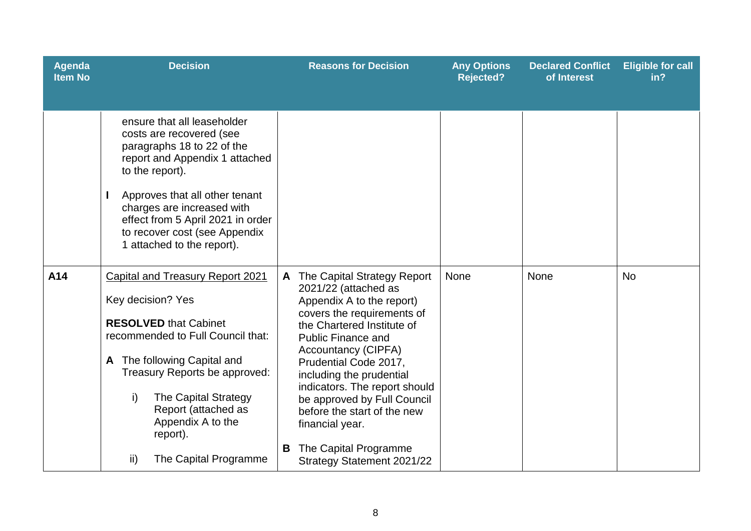| Agenda<br><b>Item No</b> | <b>Decision</b>                                                                                                                                                                                                                                                                                                                   | <b>Reasons for Decision</b>                                                                                                                                                                                                                                                                                                                                                                                                                | <b>Any Options</b><br><b>Rejected?</b> | <b>Declared Conflict</b><br>of Interest | <b>Eligible for call</b><br>in? |
|--------------------------|-----------------------------------------------------------------------------------------------------------------------------------------------------------------------------------------------------------------------------------------------------------------------------------------------------------------------------------|--------------------------------------------------------------------------------------------------------------------------------------------------------------------------------------------------------------------------------------------------------------------------------------------------------------------------------------------------------------------------------------------------------------------------------------------|----------------------------------------|-----------------------------------------|---------------------------------|
|                          | ensure that all leaseholder<br>costs are recovered (see<br>paragraphs 18 to 22 of the<br>report and Appendix 1 attached<br>to the report).<br>Approves that all other tenant<br>charges are increased with<br>effect from 5 April 2021 in order<br>to recover cost (see Appendix<br>1 attached to the report).                    |                                                                                                                                                                                                                                                                                                                                                                                                                                            |                                        |                                         |                                 |
| A14                      | <b>Capital and Treasury Report 2021</b><br>Key decision? Yes<br><b>RESOLVED that Cabinet</b><br>recommended to Full Council that:<br>The following Capital and<br>A<br>Treasury Reports be approved:<br>i)<br><b>The Capital Strategy</b><br>Report (attached as<br>Appendix A to the<br>report).<br>ii)<br>The Capital Programme | The Capital Strategy Report<br>A<br>2021/22 (attached as<br>Appendix A to the report)<br>covers the requirements of<br>the Chartered Institute of<br><b>Public Finance and</b><br><b>Accountancy (CIPFA)</b><br>Prudential Code 2017,<br>including the prudential<br>indicators. The report should<br>be approved by Full Council<br>before the start of the new<br>financial year.<br>The Capital Programme<br>Strategy Statement 2021/22 | <b>None</b>                            | None                                    | <b>No</b>                       |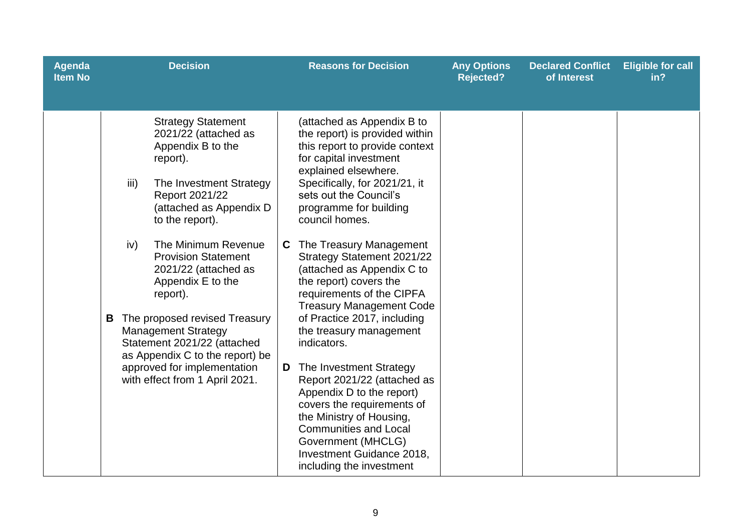| Agenda<br><b>Item No</b> | <b>Decision</b>                                                                                                                                                                                                                                                                                                                                                                                                                                                                                                   | <b>Reasons for Decision</b>                                                                                                                                                                                                                                                                                                                                                                                                                                                                                                                                                                                                                                                                                                                                                                         | <b>Any Options</b><br><b>Rejected?</b> | <b>Declared Conflict</b><br>of Interest | <b>Eligible for call</b><br>in? |
|--------------------------|-------------------------------------------------------------------------------------------------------------------------------------------------------------------------------------------------------------------------------------------------------------------------------------------------------------------------------------------------------------------------------------------------------------------------------------------------------------------------------------------------------------------|-----------------------------------------------------------------------------------------------------------------------------------------------------------------------------------------------------------------------------------------------------------------------------------------------------------------------------------------------------------------------------------------------------------------------------------------------------------------------------------------------------------------------------------------------------------------------------------------------------------------------------------------------------------------------------------------------------------------------------------------------------------------------------------------------------|----------------------------------------|-----------------------------------------|---------------------------------|
|                          | <b>Strategy Statement</b><br>2021/22 (attached as<br>Appendix B to the<br>report).<br>iii)<br>The Investment Strategy<br>Report 2021/22<br>(attached as Appendix D<br>to the report).<br>The Minimum Revenue<br>iv)<br><b>Provision Statement</b><br>2021/22 (attached as<br>Appendix E to the<br>report).<br>The proposed revised Treasury<br>B<br><b>Management Strategy</b><br>Statement 2021/22 (attached<br>as Appendix C to the report) be<br>approved for implementation<br>with effect from 1 April 2021. | (attached as Appendix B to<br>the report) is provided within<br>this report to provide context<br>for capital investment<br>explained elsewhere.<br>Specifically, for 2021/21, it<br>sets out the Council's<br>programme for building<br>council homes.<br>The Treasury Management<br>C.<br>Strategy Statement 2021/22<br>(attached as Appendix C to<br>the report) covers the<br>requirements of the CIPFA<br><b>Treasury Management Code</b><br>of Practice 2017, including<br>the treasury management<br>indicators.<br>The Investment Strategy<br>D<br>Report 2021/22 (attached as<br>Appendix D to the report)<br>covers the requirements of<br>the Ministry of Housing,<br><b>Communities and Local</b><br>Government (MHCLG)<br><b>Investment Guidance 2018,</b><br>including the investment |                                        |                                         |                                 |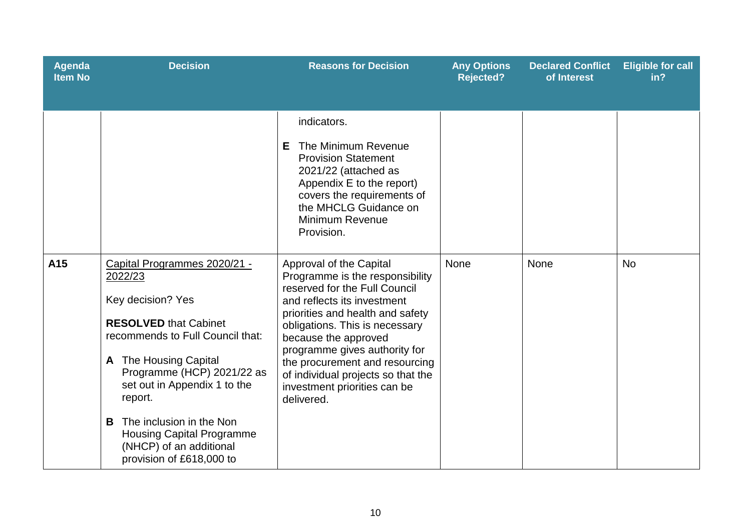| <b>Agenda</b><br><b>Item No</b> | <b>Decision</b>                                                                                                                                                                                                                                                                                                                                                 | <b>Reasons for Decision</b>                                                                                                                                                                                                                                                                                                                                                     | <b>Any Options</b><br><b>Rejected?</b> | <b>Declared Conflict</b><br>of Interest | <b>Eligible for call</b><br>in? |
|---------------------------------|-----------------------------------------------------------------------------------------------------------------------------------------------------------------------------------------------------------------------------------------------------------------------------------------------------------------------------------------------------------------|---------------------------------------------------------------------------------------------------------------------------------------------------------------------------------------------------------------------------------------------------------------------------------------------------------------------------------------------------------------------------------|----------------------------------------|-----------------------------------------|---------------------------------|
|                                 |                                                                                                                                                                                                                                                                                                                                                                 | indicators.<br>The Minimum Revenue<br>E.<br><b>Provision Statement</b><br>2021/22 (attached as<br>Appendix E to the report)<br>covers the requirements of<br>the MHCLG Guidance on<br><b>Minimum Revenue</b><br>Provision.                                                                                                                                                      |                                        |                                         |                                 |
| A15                             | Capital Programmes 2020/21 -<br>2022/23<br>Key decision? Yes<br><b>RESOLVED that Cabinet</b><br>recommends to Full Council that:<br>A The Housing Capital<br>Programme (HCP) 2021/22 as<br>set out in Appendix 1 to the<br>report.<br>The inclusion in the Non<br>B.<br><b>Housing Capital Programme</b><br>(NHCP) of an additional<br>provision of £618,000 to | Approval of the Capital<br>Programme is the responsibility<br>reserved for the Full Council<br>and reflects its investment<br>priorities and health and safety<br>obligations. This is necessary<br>because the approved<br>programme gives authority for<br>the procurement and resourcing<br>of individual projects so that the<br>investment priorities can be<br>delivered. | <b>None</b>                            | None                                    | <b>No</b>                       |